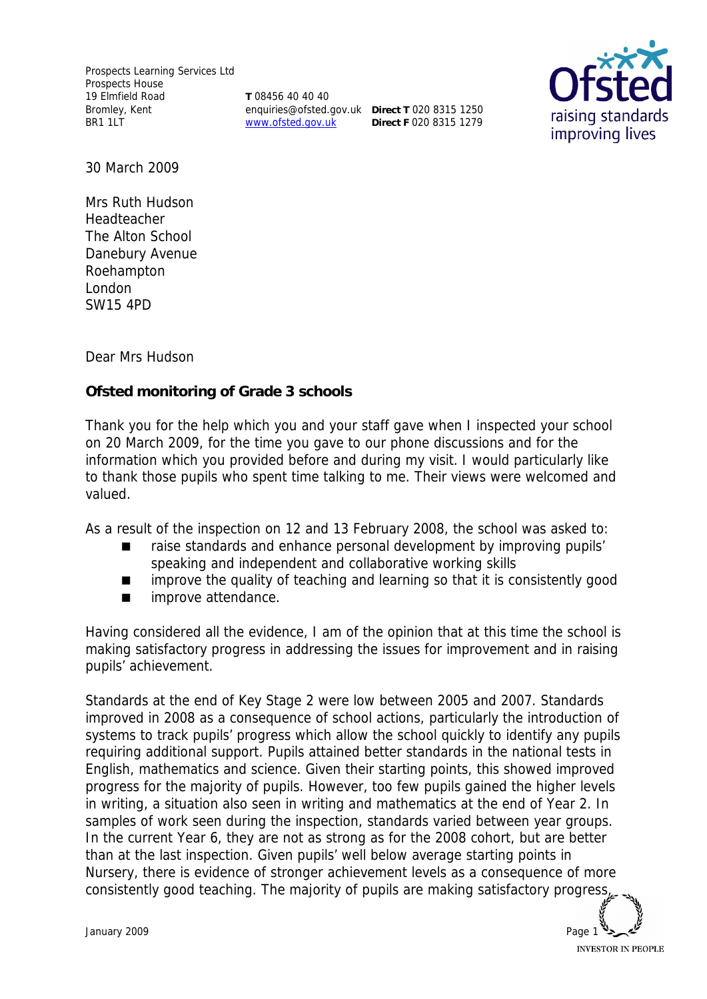Prospects Learning Services Ltd Prospects House 19 Elmfield Road Bromley, Kent BR1 1LT

**T** 08456 40 40 40 enquiries@ofsted.gov.uk **Direct T** 020 8315 1250 www.ofsted.gov.uk

**Direct F** 020 8315 1279



30 March 2009

Mrs Ruth Hudson Headteacher The Alton School Danebury Avenue Roehampton London SW15 4PD

Dear Mrs Hudson

**Ofsted monitoring of Grade 3 schools**

Thank you for the help which you and your staff gave when I inspected your school on 20 March 2009, for the time you gave to our phone discussions and for the information which you provided before and during my visit. I would particularly like to thank those pupils who spent time talking to me. Their views were welcomed and valued.

As a result of the inspection on 12 and 13 February 2008, the school was asked to:

- raise standards and enhance personal development by improving pupils' speaking and independent and collaborative working skills
- **I** improve the quality of teaching and learning so that it is consistently good
- **n** improve attendance.

Having considered all the evidence, I am of the opinion that at this time the school is making satisfactory progress in addressing the issues for improvement and in raising pupils' achievement.

Standards at the end of Key Stage 2 were low between 2005 and 2007. Standards improved in 2008 as a consequence of school actions, particularly the introduction of systems to track pupils' progress which allow the school quickly to identify any pupils requiring additional support. Pupils attained better standards in the national tests in English, mathematics and science. Given their starting points, this showed improved progress for the majority of pupils. However, too few pupils gained the higher levels in writing, a situation also seen in writing and mathematics at the end of Year 2. In samples of work seen during the inspection, standards varied between year groups. In the current Year 6, they are not as strong as for the 2008 cohort, but are better than at the last inspection. Given pupils' well below average starting points in Nursery, there is evidence of stronger achievement levels as a consequence of more consistently good teaching. The majority of pupils are making satisfactory progress,

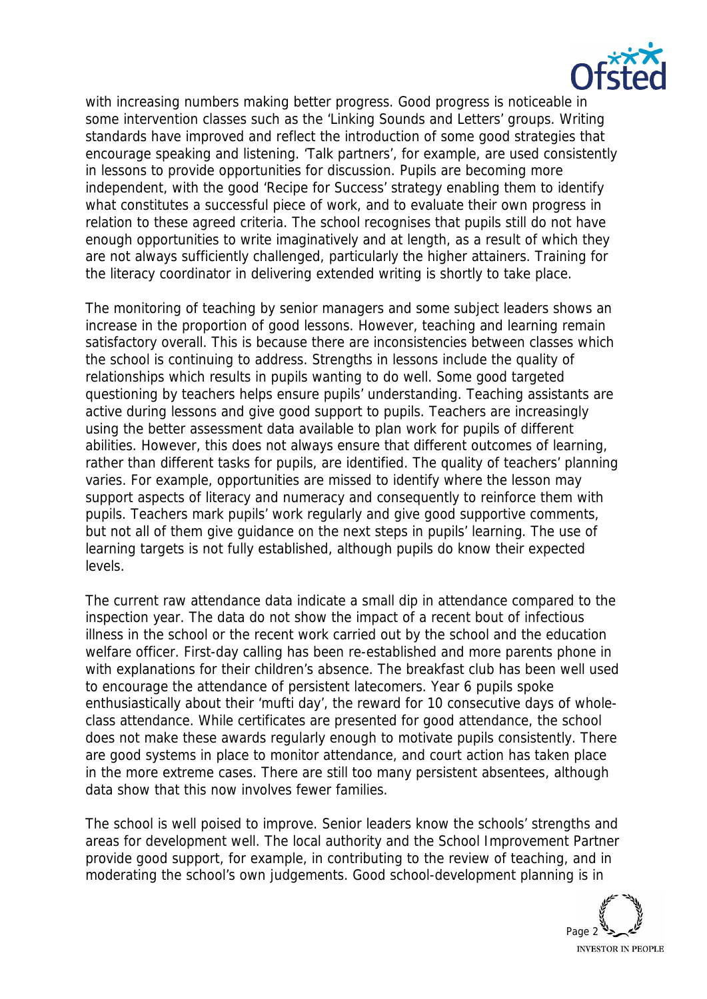

with increasing numbers making better progress. Good progress is noticeable in some intervention classes such as the 'Linking Sounds and Letters' groups. Writing standards have improved and reflect the introduction of some good strategies that encourage speaking and listening. 'Talk partners', for example, are used consistently in lessons to provide opportunities for discussion. Pupils are becoming more independent, with the good 'Recipe for Success' strategy enabling them to identify what constitutes a successful piece of work, and to evaluate their own progress in relation to these agreed criteria. The school recognises that pupils still do not have enough opportunities to write imaginatively and at length, as a result of which they are not always sufficiently challenged, particularly the higher attainers. Training for the literacy coordinator in delivering extended writing is shortly to take place.

The monitoring of teaching by senior managers and some subject leaders shows an increase in the proportion of good lessons. However, teaching and learning remain satisfactory overall. This is because there are inconsistencies between classes which the school is continuing to address. Strengths in lessons include the quality of relationships which results in pupils wanting to do well. Some good targeted questioning by teachers helps ensure pupils' understanding. Teaching assistants are active during lessons and give good support to pupils. Teachers are increasingly using the better assessment data available to plan work for pupils of different abilities. However, this does not always ensure that different outcomes of learning, rather than different tasks for pupils, are identified. The quality of teachers' planning varies. For example, opportunities are missed to identify where the lesson may support aspects of literacy and numeracy and consequently to reinforce them with pupils. Teachers mark pupils' work regularly and give good supportive comments, but not all of them give guidance on the next steps in pupils' learning. The use of learning targets is not fully established, although pupils do know their expected levels.

The current raw attendance data indicate a small dip in attendance compared to the inspection year. The data do not show the impact of a recent bout of infectious illness in the school or the recent work carried out by the school and the education welfare officer. First-day calling has been re-established and more parents phone in with explanations for their children's absence. The breakfast club has been well used to encourage the attendance of persistent latecomers. Year 6 pupils spoke enthusiastically about their 'mufti day', the reward for 10 consecutive days of wholeclass attendance. While certificates are presented for good attendance, the school does not make these awards regularly enough to motivate pupils consistently. There are good systems in place to monitor attendance, and court action has taken place in the more extreme cases. There are still too many persistent absentees, although data show that this now involves fewer families.

The school is well poised to improve. Senior leaders know the schools' strengths and areas for development well. The local authority and the School Improvement Partner provide good support, for example, in contributing to the review of teaching, and in moderating the school's own judgements. Good school-development planning is in